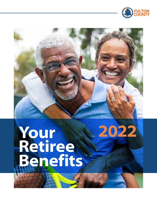

# **Your Retiree Benefits 2022**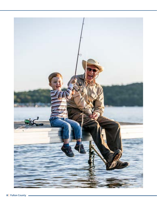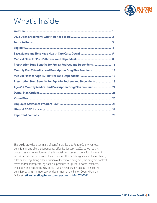

## What's Inside

| Prescription Drug Benefits for Pre-65 Retirees and Dependents11   |
|-------------------------------------------------------------------|
| Monthly Pre-65 Medical and Prescription Drug Plan Premiums13      |
|                                                                   |
| Prescription Drug Benefits for Age 65+ Retirees and Dependents 18 |
| Age 65+ Monthly Medical and Prescription Drug Plan Premiums 21    |
|                                                                   |
|                                                                   |
|                                                                   |
|                                                                   |
|                                                                   |

This guide provides a summary of benefits available to Fulton County retirees, beneficiaries and eligible dependents, effective January 1, 2022, as well as laws, procedures and regulations required to obtain and use such benefits. However, if inconsistencies occur between the contents of this benefits guide and the contracts, rules or laws regulating administration of the various programs, the program contract terms and/or appropriate legislation supersedes this guide. In some instances, limitations and exclusions may apply. If you have questions, please contact the benefit program's member service department or the Fulton County Pension Office at **retireebenefits@fultoncountyga.gov** or **404-612-7606**.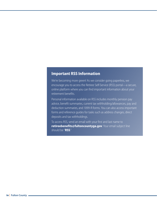#### **Important RSS Information**

We're becoming more green! As we consider going paperless, we encourage you to access the Retiree Self-Service (RSS) portal—a secure, online platform where you can find important information about your retirement benefits.

Personal information available on RSS includes monthly pension pay advice, benefit summaries, current tax withholding/allowances, pay and deduction summaries, and 1099-R forms. You can also access important forms and reference guides for tasks such as address changes, direct deposits and tax withholdings.

To access RSS, send an email with your first and last name to **[retireebenefits@fultoncountyga.gov](mailto:retireebenefits%40fultoncountyga.gov?subject=)**. Your email subject line should be "**RSS**."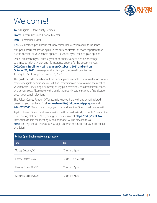

## <span id="page-4-0"></span>Welcome!

**To:** All Eligible Fulton County Retirees

**From:** Hakeem Oshikoya, Finance Director

**Date:** September 1, 2021

**Re:** 2022 Retiree Open Enrollment for Medical, Dental, Vision and Life Insurance

It's Open Enrollment season again. In the current climate, it's more important than ever to consider all your benefit options—especially your medical plan options.

Open Enrollment is your once-a-year opportunity to elect, decline or change your medical, dental, vision and life insurance options for the upcoming year.

#### **2022 Open Enrollment will begin on October 4, 2021 and end on**

**October 22, 2021.** Coverage for the plans you choose will be effective January 1, 2022 through December 31, 2022.

This guide provides details about the benefit plans available to you as a Fulton County retiree or eligible beneficiary. You will find information on how to make the most of your benefits—including a summary of key plan provisions, enrollment instructions, and benefit costs. Please review this guide thoroughly before making a final decision about your benefit elections.

The Fulton County Pension Office team is ready to help with any benefit-related questions you may have. Email **retireebenefits@fultoncountyga.gov** or call **404-612-7606**. We also encourage you to attend a retiree Open Enrollment meeting.

Again this year, Open Enrollment meetings will be held virtually through Zoom, a video conferencing platform. After you register for a session at **https://bit.ly/3zbL3zo**, instructions to join the meeting (video or phone) will be emailed to you. **Note:** The registration link works in Google Chrome, Microsoft Edge, Mozilla Firefox

and Safari.

| <b>Retiree Open Enrollment Meeting Schedule</b> |                         |  |  |  |
|-------------------------------------------------|-------------------------|--|--|--|
| <b>Date</b>                                     | <b>Time</b>             |  |  |  |
| Monday, October 4, 2021                         | 10 a.m. and 2 p.m.      |  |  |  |
| Tuesday, October 12, 2021                       | 10 a.m. (FCREA Meeting) |  |  |  |
| Thursday, October 14, 2021                      | 10 a.m. and 2 p.m.      |  |  |  |
| Wednesday, October 20, 2021                     | 10 a.m. and 2 p.m.      |  |  |  |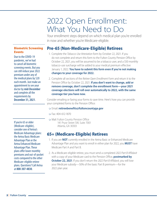## 2022 Open Enrollment: What You Need to Do

Your enrollment steps depend on which medical plan you're enrolled in now and whether you're Medicare-eligible.

#### <span id="page-5-0"></span>Biometric Screening Events

Due to the COVID-19 pandemic, we've had to cancel all biometric screening events. But you can still reduce your 2022 premium under any of the medical plans by \$20 each month. Just make an appointment to see your doctor by **mid-December** and complete all the requirements by **December 31, 2021**.

If you're 65 or older (Medicare-eligible), consider one of Aetna's Medicare Advantage plans: the Aetna Basic Medicare Advantage Plan or the Aetna Enhanced Medicare Advantage Plan. These plans offer lower monthly premiums and out-of-pocket costs compared to the other Medicare-eligible retiree plans. Questions? Call Aetna at **800-307-4830**.

#### **Pre-65 (Non-Medicare-Eligible) Retirees**

- 1. Complete the *Tobacco-Use Attestation* form by October 22, 2021. If you do not complete and return this form to the Fulton County Pension Office by October 22, 2021, you will be assumed to be a tobacco user, and a \$50 monthly tobacco-use surcharge will be added to your medical premium effective January 1, 2022. **You have to submit this form even if you're not making changes to your coverage for 2022.**
- 2. Complete all sections of the *Retiree Open Enrollment Form* and return it to the Pension Office by October 22, 2021. **If you don't want to change, add or remove coverage, don't complete the enrollment form—your 2021 coverage elections will roll over automatically to 2022, with the same coverage tier you have now.**

Consider emailing or faxing your forms to save time. Here's how you can provide your completed forms to the Pension Office:

- Email: **retireebenefits@fultoncountyga.gov**
- Fax: 404-612-1870
- Mail: Fulton County Pension Office 141 Pryor Street SW, Suite 7001 Atlanta, GA 30303

### **65+ (Medicare-Eligible) Retirees**

- 1. If you are **NOT** currently enrolled in the Aetna Basic or Enhanced Medicare Advantage Plan and you want to enroll in either plan for 2022, you **MUST** have Medicare Part A and Part B.
- 2. As a Medicare-eligible retiree, you must send a completed *2022 Part B Affidavit* with a copy of your Medicare card to the Pension Office, **postmarked by October 22, 2021**. If you don't return the *2022 Part B Affidavit*, you will lose your Medicare subsidy—50% of the basic Part B premium—for the 2022 plan year.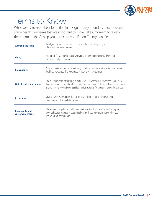

## <span id="page-6-0"></span>Terms to Know

While we try to keep the information in this guide easy to understand, there are some health care terms that are important to know. Take a moment to review these terms—they'll help you better use your Fulton County benefits.

| <b>Annual deductible</b>                  | What you pay out of pocket each year before the plan starts paying a share<br>of the cost for covered services.                                                                                                                                                              |
|-------------------------------------------|------------------------------------------------------------------------------------------------------------------------------------------------------------------------------------------------------------------------------------------------------------------------------|
| Copay                                     | An upfront fee you pay for doctor visits, prescriptions and other costs, depending<br>on the medical plan you enroll in.                                                                                                                                                     |
| Coinsurance                               | Once you meet your annual deductible, you and the County share the cost of your covered<br>health care expenses. The percentage you pay is your coinsurance.                                                                                                                 |
| <b>Out-of-pocket maximum</b>              | The maximum amount you'll pay out of pocket each year for in-network care. Some plans<br>have a separate out-of-network maximum too. Once you meet the out-of-pocket maximum,<br>the plan covers 100% of your qualified medical expenses for the remainder of the plan year. |
| <b>Exclusions</b>                         | Charges, services or supplies that are not covered and do not apply toward your<br>deductible or out-of-pocket maximum.                                                                                                                                                      |
| <b>Reasonable and</b><br>customary charge | The amount charged for a service based on the cost of similar medical services in your<br>geographic area. It is used to determine how much you pay in coinsurance when you<br>receive out-of-network care.                                                                  |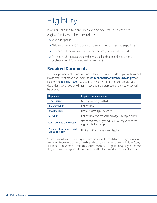## <span id="page-7-0"></span>**Eligibility**

If you are eligible to enroll in coverage, you may also cover your eligible family members, including:

- Your legal spouse
- Children under age 26 (biological children, adopted children and stepchildren)
- Dependent children of any age who are medically certified as disabled
- Dependent children age 26 or older who are handicapped due to a mental or physical condition that started before age 19\*

### **Required Documents**

You must provide verification documents for all eligible dependents you wish to enroll. Please email verification documents to **[retireebenefits@fultoncountyga.gov](mailto:retireebenefits%40fultoncountyga.gov?subject=)** or fax them to **404-612-1870**. If you do not provide verification documents for your dependents when you enroll them in coverage, the start date of their coverage will be delayed.

| <b>Dependent</b>                                      | <b>Required Documentation</b>                                                                       |
|-------------------------------------------------------|-----------------------------------------------------------------------------------------------------|
| <b>Legal spouse</b>                                   | Copy of your marriage certificate                                                                   |
| <b>Biological child</b>                               | Birth certificate                                                                                   |
| <b>Adopted child</b>                                  | Placement papers signed by a court                                                                  |
| <b>Stepchild</b>                                      | Birth certificate of your stepchild; copy of your marriage certificate                              |
| <b>Court-ordered child support</b>                    | State affidavit; copy of signed court order requiring you to provide<br>support for health coverage |
| <b>Permanently disabled child</b><br>age 26 or older* | Physician verification of permanent disability                                                      |

\* Coverage normally ends on the last day of the month in which a dependent child reaches age 26; however, you can continue coverage for a handicapped dependent child. You must provide proof to the Fulton County Pension Office that your child's handicap began before the child reached age 19. Coverage stays in force for as long as dependent coverage under the plan continues and the child remains handicapped, as defined above.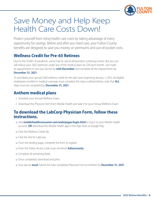

## <span id="page-8-0"></span>Save Money and Help Keep Health Care Costs Down!

Protect yourself from rising health care costs by taking advantage of every opportunity for savings. Before and after you need care, your Fulton County benefits are designed to save you money on premiums and out-of-pocket costs.

### **Wellness Credit for Pre-65 Retirees**

Due to the COVID-19 pandemic, we've had to cancel all biometric screening events. But you can still reduce your 2022 premium under any of the medical plans by \$20 each month. Just make an appointment to see your doctor by **mid-December** and complete all the requirements by **December 31, 2021**.

To earn/keep your annual \$240 wellness credit for the plan year beginning January 1, 2022, all eligible employees enrolled in medical coverage must complete the steps outlined below; note that **ALL** steps must be completed by **December 31, 2021**.

### **Anthem medical plans**

- 1. Schedule your Annual Wellness Exam.
- 2. Download the *Physician Form* from Mobile Health and take it to your Annual Wellness Exam.

#### **To download the LabCorp Physician Form, follow these instructions.**

- Visit **[mobilehealthconsumer.com/web/pages/login.html](https://www.mobilehealthconsumer.com/web/pages/login.html)** to log in to your Mobile Health account, **OR** download the Mobile Health app in the App Store or Google Play.
- Click the Wellness Credit tile.
- Click the link for LabCorp.
- From the landing page, complete the form to register.
- Enter the Visitor Access Code (case sensitive): **fultoncounty**.
- o Complete all remaining fields.
- o Once completed, download and print.
- Your doctor **must** submit the fully completed *Physician Form* to Anthem by **December 31, 2021**.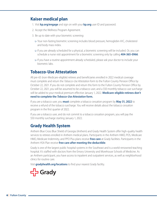#### **Kaiser medical plan**

- 1. Visit **[kp.org/engage](http://kp.org/engage)** and sign on with your **[kp.org](http://kp.org)** user ID and password.
- 2. Accept the Wellness Program Agreement.
- 3. Be up to date with your biometric screening:
	- Your non-fasting biometric screening includes blood pressure, hemoglobin A1C, cholesterol and body mass index.
	- If you are already scheduled for a physical, a biometric screening will be included. Or, you can schedule a nurse visit appointment for a biometric screening only by calling **404-365-0966**.
	- If you have a routine appointment already scheduled, please ask your doctor to include your biometric labs.

### **Tobacco-Use Attestation**

All pre-65 (non-Medicare-eligible) retirees and beneficiaries enrolled in 2022 medical coverage must complete and return the *Tobacco-Use Attestation* form to the Fulton County Pension Office by October 22, 2021. If you do not complete and return this form to the Fulton County Pension Office by October 22, 2021, you will be assumed to be a tobacco user, and a \$50 monthly tobacco-use surcharge will be added to your medical premium effective January 1, 2022. **Medicare-eligible retirees don't need to complete the** *Tobacco-Use Attestation* **form.**

If you are a tobacco user, you **must** complete a tobacco cessation program by **May 31, 2022** to receive a refund of the tobacco surcharge. You will receive details about the tobacco cessation program in the first quarter of 2022.

If you are a tobacco user, and do not commit to a tobacco cessation program, you will pay the \$50 monthly surcharge starting January 1, 2022.

### **Grady Health System**

Anthem Blue Cross Blue Shield of Georgia (Anthem) and Grady Health System offer high-quality health services to retirees enrolled in Anthem medical plans. Participants in the Anthem HMO, POS, Medicare HMO, Medicare Indemnity, and PPO Plus plans receive **free care** at Grady facilities. Participants in the Anthem HSA Plan receive **free care after meeting the deductible**.

Grady is one of the largest public hospital systems in the Southeast and is a world-renowned teaching hospital. It's staffed with doctors from the Emory University and Morehouse Schools of Medicine. As an Anthem participant, you have access to inpatient and outpatient services, as well as neighborhood clinics for routine care.

Visit **[gradyhealth.org/locations](http://gradyhealth.org/locations)** to find your nearest Grady facility.

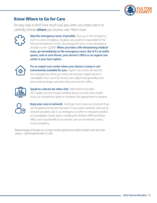

### **Know Where to Go for Care**

An easy way to limit how much you pay when you need care is to carefully choose **where** you receive care. Here's how:



**Skip the emergency room, if possible.** If you go to the emergency room in a non-emergency situation, you could be responsible for the full cost of treatment. In fact, the average ER cost in a non-emergency situation is over \$2,000!1 **When you have a life-threatening medical issue, go immediately to the emergency room. But if it's an ankle sprain, rash or sore throat, your doctor's office or an urgent care center is your best option.**



**Try an urgent care center when your doctor is away or not conveniently available for you.** Urgent care centers are best for non-emergencies when you need care and your regular doctor is unavailable. Don't use it for routine care; urgent care generally costs more and has longer wait times than your doctor's office.



**Speak to a doctor by video chat.** Telemedicine provides 24/7 health care from board-certified doctors to treat minor health issues via smartphone, tablet or computer. No appointment is needed.



**Keep your care in-network.** You'll pay much more out of pocket if you visit hospitals and doctors that aren't in your plan's network. Visit out-ofnetwork providers only in an emergency or when in-network providers are unavailable. Certain plans, including the Anthem HMO and Kaiser HMO, won't pay benefits if you receive care out-of-network, unless it's an emergency.

1 National averages of the total cost, not what members paid based on Anthem members' paid claims from January 1, 2020 through December 31, 2020.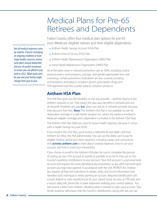## Medical Plans for Pre-65 Retirees and Dependents

Fulton County offers four medical plan options for pre-65 (non-Medicare-eligible) retirees and their eligible dependents:

- Anthem Health Savings Account (HSA) Plan
- Anthem Point of Service (POS) Plan
- Anthem Health Maintenance Organization (HMO) Plan
- o Kaiser Health Maintenance Organization (HMO) Plan

All of the plans cover in-network preventive care at 100%, including routine physical exams, immunizations, and age- and gender-appropriate tests and screenings. Certain preventive medications are also covered, including contraceptives and tobacco cessation generic prescription drugs and FDA-approved over-the-counter tobacco cessation products.

#### **Anthem HSA Plan**

The HSA Plan gives you the flexibility to visit any provider—whether they're in the Anthem network or not. That means the plan pays benefits in-network and outof-network. However, you pay *less* when you visit an in-network provider, because they discount their fees. **Note:** The Anthem HSA Plan is not available for pre-65 dependent coverage in a split family situation (i.e., where the retiree is enrolled in Medicare-eligible coverage and a dependent is enrolled in the Anthem HSA Plan).

The Anthem HSA Plan helps you save for future health expenses, because it comes with a Health Savings Account (HSA).

If you enroll in the HSA Plan, you'll receive a welcome kit and debit card from Anthem Act Wise, the HSA administrator. You can use the debit card to pay for eligible medical, dental and vision expenses, including copays and coinsurance. Visit **[actwise.anthem.com](http://actwise.anthem.com)** to learn about covered expenses, how to use your account, and how to track your transactions.

If you choose to enroll in the Anthem HSA plan, be sure to complete the process of setting up your HSA account as quickly as possible so as not to miss out on the County's quarterly contributions to your account. Your HSA account is a personal bank account and requires the same identifying documentation as any other personal bank account you may have opened. In accordance with the USA PATRIOT Act, Federal law requires all financial institutions to obtain, verify, and record information that identifies each individual or entity opening an account. Required identification will include federal or state-issued picture ID, your signed Social Security or ITIN card, and a recent utility bill, phone bill, or bank statement verifying your current address. You will receive a letter from Anthem, detailing what is needed to open your account. Your timely response will ensure that the County's contributions, along with any pre-tax

<span id="page-11-0"></span>Not all medical expenses come by surprise. If you're managing an ongoing condition or have major health concerns, review each plan's annual deductible and out-of-pocket maximum to ensure you can afford to pay both in 2022. What works best for you and your family might change from year to year.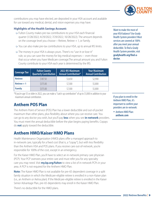

contributions you may have elected, are deposited in your HSA account and available for use toward any medical, dental, and vision expenses you may have.

#### **Highlights of the Health Savings Account:**

- Fulton County makes pre-tax contributions to your HSA each financial quarter (1/28/2022; 4/29/2022; 7/29/2022; 10/28/2022). The amount depends on the coverage level you choose—Retiree, Retiree  $+1$ , or Family.
- You can also make pre-tax contributions to your HSA, up to annual IRS limits.
- The money in your HSA is always yours. There's no "use-it-or-lose-it" rule, so you can save the money for big medical expenses— even those that occur when you have Medicare coverage.The annual amount you and Fulton County contribute to your HSA each year is determined by the IRS:

**Coverage Tier Fulton County Quarterly Contribution 2022 IRS Maximum Annual Contribution\* Your Maximum Annual Contribution Retiree** \$187.50 \$3,650 \$2,900 **Retiree + 1**  $\left| \right|$  \$375.00  $\left| \right|$  \$7,300  $\left| \right|$  \$5,800 **Family** \$375.00 \$7,300 \$5,800

Want to make the most of your HSA balance? Use Grady Health System providers! Most services are covered at 100% after you meet your annual deductible. To find a Grady Health System provider, visit **[gradyhealth.org/find-a](http://gradyhealth.org/find-a-doctor)[doctor](http://gradyhealth.org/find-a-doctor)**.

\*If you're age 55 or older in 2022, you can make a "catch-up contribution" of up to \$1,000 in addition to your maximum annual contribution.

## **Anthem POS Plan**

The Anthem Point of Service (POS) Plan has a lower deductible and out-of-pocket maximum than other plans, plus flexibility about where you can receive care. You can go to any doctor you wish, but you'll pay **less** when you see **in-network** providers. You must meet the annual deductible before the plan begins paying benefits. Copays do **not** apply toward the deductible.

### **Anthem HMO/Kaiser HMO Plans**

Health Maintenance Organization (HMO) plans offer a managed approach to in-network care, typically for a fixed cost (that is, a "copay"), but with less flexibility than the Anthem HSA and POS plans. If you receive care out-of-network, you're responsible for 100% of the cost, except in an emergency.

For the Kaiser HMO Plan, you'll have to select an in-network primary care physician (PCP). Your PCP oversees your entire care and must refer you for any specialty care you may need. Visit **[my.kp.org/fulton](http://my.kp.org/fulton)** to view a list of in-network PCPs in your area. A PCP is not required for the Anthem HMO Plan.

**Note:** The Kaiser HMO Plan is not available for pre-65 dependent coverage in a split family situation in which the Medicare-eligible retiree is enrolled in a non-Kaiser plan (i.e., an Anthem or Aetna plan). If the Medicare-eligible retiree is enrolled in the Kaiser Senior Advantage Plan, pre-65 dependents may enroll in the Kaiser HMO Plan.

There's no deductible for the HMO plans.

If you plan to enroll in the Anthem HMO Plan, it's important to confirm your providers are in-network:

• Anthem HMO Plan: **[anthem.com](http://anthem.com/find-doctor )**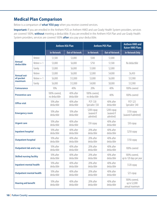### **Medical Plan Comparison**

Below is a comparison of **what YOU pay** when you receive covered services.

**Important:** If you are enrolled in the Anthem POS or Anthem HMO and use Grady Health System providers, services are covered 100%, **without** meeting a deductible. If you are enrolled in the Anthem HSA Plan and use Grady Health System providers, services are covered 100% **after** you pay your deductible.

|                                 |              | <b>Anthem HSA Plan</b>         |                         |                                        | <b>Anthem POS Plan</b>                 | <b>Anthem HMO and</b><br><b>Kaiser HMO Plans</b> |
|---------------------------------|--------------|--------------------------------|-------------------------|----------------------------------------|----------------------------------------|--------------------------------------------------|
|                                 |              | <b>In-Network</b>              | <b>Out-of-Network</b>   | <b>In-Network</b>                      | Out-of-Network                         | <b>In-Network Only</b>                           |
|                                 | Retiree      | \$1,500                        | \$3,000                 | \$500                                  | \$1,000                                |                                                  |
| <b>Annual</b><br>deductible     | Retiree $+1$ | \$3,000                        | \$6,000                 | \$750                                  | \$1,500                                | No deductible                                    |
|                                 | Family       | \$3,000                        | \$6,000                 | \$1,000                                | \$2,000                                |                                                  |
| <b>Annual out-</b>              | Retiree      | \$3,000                        | \$6,000                 | \$2,000                                | \$4,000                                | \$6,450                                          |
| of-pocket                       | Retiree $+1$ | \$6,000                        | \$12,000                | \$3,000                                | \$6,000                                | \$12,900                                         |
| maximum                         | Family       | \$6,000                        | \$12,000                | \$4,000                                | \$8,000                                | \$12,900                                         |
| <b>Coinsurance</b>              |              | 10%                            | 40%                     | 20%                                    | 40%                                    | 100% covered                                     |
| <b>Preventive care</b>          |              | 100% covered,<br>no deductible | 40% after<br>deductible | 100% covered,<br>no deductible         | 40%                                    | 100% covered                                     |
| <b>Office visit</b>             |              | 10% after<br>deductible        | 40% after<br>deductible | PCP: \$30<br>Specialist: \$50          | 40% after<br>deductible                | PCP: \$25<br>Specialist: \$40                    |
| <b>Emergency room</b>           |              | 10% after<br>deductible        | 10% after<br>deductible | \$200 copay<br>(waived if<br>admitted) | \$200 copay<br>(waived if<br>admitted) | \$150 copay<br>(waived if admitted)              |
| <b>Urgent care</b>              |              | 10% after<br>deductible        | 40% after<br>deductible | \$50 copay                             | 40% after<br>deductible                | \$50 copay                                       |
| <b>Inpatient hospital</b>       |              | 10% after<br>deductible        | 40% after<br>deductible | 20% after<br>deductible                | 40% after<br>deductible                | \$250 copay                                      |
| <b>Outpatient hospital</b>      |              | 10% after<br>deductible        | 40% after<br>deductible | 20% after<br>deductible                | 40% after<br>deductible                | \$150 copay                                      |
| <b>Outpatient lab and x-ray</b> |              | 10% after<br>deductible        | 40% after<br>deductible | 20% after<br>deductible                | 40% after<br>deductible                | 100% covered                                     |
| <b>Skilled nursing facility</b> |              | 10% after<br>deductible        | 40% after<br>deductible | 20% after<br>deductible                | 40% after<br>deductible                | 100% covered,<br>up to 120 days per year         |
| <b>Inpatient mental health</b>  |              | 10% after<br>deductible        | 40% after<br>deductible | 20% after<br>deductible                | 40% after<br>deductible                | \$120 copay                                      |
| <b>Outpatient mental health</b> |              | 10% after<br>deductible        | 40% after<br>deductible | 20% after<br>deductible                | 40% after<br>deductible                | \$25 copay                                       |
| <b>Hearing aid benefit</b>      |              | 10% after<br>deductible        | 40% after<br>deductible | 20% after<br>deductible                | 40% after<br>deductible                | 100% covered,<br>up to \$2,000<br>annual maximum |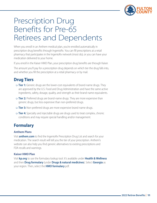

## <span id="page-14-0"></span>Prescription Drug Benefits for Pre-65 Retirees and Dependents

When you enroll in an Anthem medical plan, you're enrolled automatically in prescription drug benefits through IngenioRx. You can fill prescriptions at a retail pharmacy that participates in the IngenioRx network (most do), or you can have your medication delivered to your home.

If you enroll in the Kaiser HMO Plan, your prescription drug benefits are through Kaiser.

The amount you'll pay for a prescription drug depends on which tier the drug falls into, and whether you fill the prescription at a retail pharmacy or by mail.

## **Drug Tiers**

- **Tier 1:** Generic drugs are the lower-cost equivalents of brand-name drugs. They are approved by the U.S. Food and Drug Administration and have the same active ingredients, safety, dosage, quality, and strength as their brand-name equivalents.
- **Tier 2:** Preferred drugs are brand-name drugs. They are more expensive than generic drugs, but less expensive than non-preferred drugs.
- **Tier 3:** Non-preferred drugs are more expensive brand-name drugs.
- **Tier 4:** Specialty and injectable drugs are drugs used to treat complex, chronic conditions and may require special handling and/or management.

## **Formulary**

#### **Anthem Plans**

Visit **[anthem.com](http://anthem.com)** to find the IngenioRx Prescription Drug List and search for your medication. The search result will tell you the tier of your prescription. Anthem's website can also help you find generic alternatives to existing prescriptions and FDA recalls and warnings.

#### **Kaiser HMO Plan**

Visit **[kp.org](http://kp.org)** to use the formulary lookup tool. It's available under **Health & Wellness** and then **Drug formulary** (under **Drugs & natural medicines**). Select **Georgia** as your region. Then, select the **HMO formulary** pdf.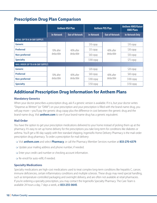### **Prescription Drug Plan Comparison**

|                                       | <b>Anthem HSA Plan</b>  |                         | <b>Anthem POS Plan</b> |                         | <b>Anthem HMO/Kaiser</b><br><b>HMO Plans</b> |
|---------------------------------------|-------------------------|-------------------------|------------------------|-------------------------|----------------------------------------------|
|                                       | <b>In-Network</b>       | Out-of-Network          | <b>In-Network</b>      | Out-of-Network          | <b>In-Network Only</b>                       |
| <b>RETAIL (UP TO A 30-DAY SUPPLY)</b> |                         |                         |                        |                         |                                              |
| <b>Generic</b>                        | 10% after<br>deductible |                         | \$10 copay             |                         | \$10 copay                                   |
| <b>Preferred</b>                      |                         | 40% after<br>deductible | \$35 copay             | 40% after<br>deductible | \$30 copay                                   |
| Non-preferred                         |                         |                         | \$60 copay             |                         | \$50 copay                                   |
| <b>Specialty</b>                      |                         |                         | \$100 copay            |                         | \$75 copay                                   |
| MAIL ORDER (UP TO A 90-DAY SUPPLY)    |                         |                         |                        |                         |                                              |
| <b>Generic</b>                        |                         | 40% after<br>deductible | \$20 copay             |                         | \$20 copay                                   |
| <b>Preferred</b>                      | 10% after               |                         | \$60 copay             | 40% after               | \$60 copay                                   |
| Non-preferred                         | deductible              |                         | \$100 copay            | deductible              | \$100 copay                                  |
| <b>Specialty</b>                      |                         |                         |                        |                         | \$150 copay                                  |

## **Additional Prescription Drug Information for Anthem Plans**

#### **Mandatory Generics**

When your doctor prescribes a prescription drug, ask if a generic version is available. If it is, but your doctor writes "Dispense as Written" (or "DAW") on your prescription and your prescription is filled with the brand-name drug, you will pay more—you'll pay the generic drug copay plus the difference in cost between the generic drug and the brand-name drug. Visit **[anthem.com](http://anthem.com)** to see if your brand-name drug has a generic equivalent.

#### **Mail Order**

You have the option to get your prescription medications delivered to your home instead of picking them up at the pharmacy. It's easy to set up home delivery for the prescriptions you take long-term for conditions like diabetes or asthma. You'll get a 90-day supply with free standard shipping. IngenioRx Home Delivery Pharmacy is the mail-order prescription drug pharmacy. To order a prescription for mail delivery:

- Visit **[anthem.com](http://anthem.com)** and select **Pharmacy**, or call the Pharmacy Member Services number at **833-270-6379**.
- Update your mailing address and phone number, if needed.
- o Enter your credit card number or checking account information.
- Re-enroll for auto-refill, if needed.

#### **Specialty Medications**

Specialty medications are high-cost medications used to treat complex long-term conditions like hepatitis C, cancer, immune deficiencies, certain inflammatory conditions and multiple sclerosis. These drugs may need special handling, such as temperature-controlled packaging and overnight delivery, and are often not available at retail pharmacies. If you're ordering a specialty prescription, you may contact the IngenioRx Specialty Pharmacy. The Care Team is available 24 hours a day, 7 days a week, at **833-255-0645**.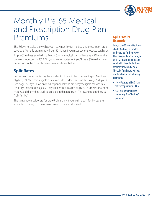

## <span id="page-16-0"></span>Monthly Pre-65 Medical and Prescription Drug Plan Premiums

The following tables show what you'll pay monthly for medical and prescription drug coverage. Monthly premiums will be \$50 higher if you must pay the tobacco surcharge.

All pre-65 retirees enrolled in a Fulton County medical plan will receive a \$20 monthly premium reduction in 2022. On your pension statement, you'll see a \$20 wellness credit deduction on the monthly premium rates shown below.

## **Split Rates**

Retirees and dependents may be enrolled in different plans, depending on Medicare eligibility. All Medicare-eligible retirees and dependents are enrolled in age 65+ plans (see page 15). If you have enrolled dependents who are not yet eligible for Medicare (typically, those under age 65), they are enrolled in a pre-65 plan. This means that some retirees and dependents will be enrolled in different plans. This is also referred to as a "split family."

The rates shown below are for pre-65 plans only. If you are in a split family, use the example to the right to determine how your rate is calculated.

#### Split Family Example

Jack, a pre-65 (non-Medicareeligible) retiree, is enrolled in the pre-65 Anthem HMO Plan. Megan, Jack΄s spouse, is 65+ (Medicare-eligible) and enrolled in the 65+ Anthem Medicare Indemnity Plan. The split-family rate will be a combination of the following premiums:

- Pre-65 Anthem HMO Plan "Retiree" premium, PLUS
- 65+ Anthem Medicare Indemnity Plan "Retiree" premium.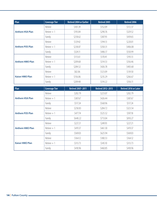| Plan                   | <b>Coverage Tier</b>            | <b>Retired 2004 or Earlier</b>       | <b>Retired 2005</b>                  | <b>Retired 2006</b>                      |
|------------------------|---------------------------------|--------------------------------------|--------------------------------------|------------------------------------------|
|                        | Retiree                         | \$101.39                             | \$152.09                             | \$172.37                                 |
| <b>Anthem HSA Plan</b> | Retiree $+1$                    | \$193.84                             | \$290.76                             | \$329.52                                 |
|                        | Family                          | \$258.62                             | \$387.93                             | \$439.65                                 |
|                        | Retiree                         | \$129.42                             | \$194.13                             | \$220.01                                 |
| <b>Anthem POS Plan</b> | Retiree $+1$                    | \$238.87                             | \$358.31                             | \$406.08                                 |
|                        | Family                          | \$324.11                             | \$486.17                             | \$550.99                                 |
|                        | Retiree                         | \$113.61                             | \$170.41                             | \$193.13                                 |
| <b>Anthem HMO Plan</b> | Retiree $+1$                    | \$209.68                             | \$314.53                             | \$356.46                                 |
|                        | Family                          | \$284.52                             | \$426.78                             | \$483.68                                 |
|                        | Retiree                         | \$82.06                              | \$123.09                             | \$139.50                                 |
| <b>Kaiser HMO Plan</b> | Retiree $+1$                    | \$156.86                             | \$235.29                             | \$266.67                                 |
|                        | Family                          | \$209.48                             | \$314.22                             | \$356.11                                 |
|                        |                                 |                                      |                                      |                                          |
| Plan                   |                                 |                                      |                                      |                                          |
|                        | <b>Coverage Tier</b><br>Retiree | <b>Retired 2007-2011</b><br>\$202.79 | <b>Retired 2012-2015</b><br>\$223.07 | <b>Retired 2016 or Later</b><br>\$202.79 |
| <b>Anthem HSA Plan</b> | Retiree $+1$                    | \$387.67                             | \$426.44                             | \$387.67                                 |
|                        | Family                          | \$517.24                             | \$568.96                             | \$517.24                                 |
|                        | Retiree                         | \$258.83                             | \$284.72                             | \$323.54                                 |
| <b>Anthem POS Plan</b> | Retiree $+1$                    | \$477.74                             | \$525.52                             | \$597.18                                 |
|                        | Family                          | \$648.22                             | \$713.04                             | \$810.27                                 |
|                        | Retiree                         | \$227.21                             | \$249.93                             | \$227.21                                 |
| <b>Anthem HMO Plan</b> | Retiree $+1$                    | \$419.37                             | \$461.30                             | \$419.37                                 |
|                        | Family                          | \$569.03                             | \$625.94                             | \$569.03                                 |
|                        | Retiree                         | \$164.12                             | \$180.53                             | \$164.12                                 |
| <b>Kaiser HMO Plan</b> | Retiree $+1$                    | \$313.73                             | \$345.10                             | \$313.73                                 |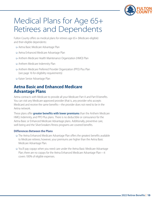

## <span id="page-18-0"></span>Medical Plans for Age 65+ Retirees and Dependents

Fulton County offers six medical plans for retirees age 65+ (Medicare-eligible) and their eligible dependents:

- Aetna Basic Medicare Advantage Plan
- Aetna Enhanced Medicare Advantage Plan
- Anthem Medicare Health Maintenance Organization (HMO) Plan
- Anthem Medicare Indemnity Plan
- Anthem Medicare Preferred Provider Organization (PPO) Plus Plan (see page 16 for eligibility requirements)
- o Kaiser Senior Advantage Plan

#### **Aetna Basic and Enhanced Medicare Advantage Plans**

Aetna contracts with Medicare to provide all your Medicare Part A and Part B benefits. You can visit any Medicare-approved provider (that is, any provider who accepts Medicare) and receive the same benefits—the provider does not need to be in the Aetna network.

These plans offer **greater benefits with lower premiums** than the Anthem Medicare HMO, Indemnity, and PPO Plus plans. There is no deductible or coinsurance for the Aetna Basic or Enhanced Medicare Advantage plans. Additionally, preventive care, well-being and the SilverSneakers fitness programs are covered benefits.

#### **Differences Between the Plans**

- The Aetna Enhanced Medicare Advantage Plan offers the greatest benefits available to Medicare retirees; however, your premiums are higher than the Aetna Basic Medicare Advantage Plan.
- You'll pay copays when you need care under the Aetna Basic Medicare Advantage Plan; there are no copays for the Aetna Enhanced Medicare Advantage Plan—it covers 100% of eligible expenses.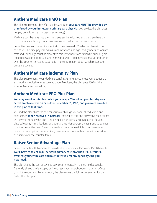#### **Anthem Medicare HMO Plan**

This plan supplements benefits paid by Medicare. **Your care MUST be provided by or referred by your in-network primary care physician**; otherwise, the plan does not pay benefits (except in case of emergency).

Medicare pays benefits first, then the plan pays benefits. You and the plan share the cost of your care through copays—there are no deductibles or coinsurance.

Preventive care and preventive medications are covered 100% by the plan with no cost to you. Routine physical exams, immunizations, and age- and gender-appropriate tests and screenings count as preventive care. Preventive medications include eligible tobacco cessation products, brand-name drugs with no generic alternative, and some over-the-counter items. See page 18 for more information about which prescription drugs are covered.

### **Anthem Medicare Indemnity Plan**

This plan supplements your Medicare benefits. As long as you meet your deductible and receive medical services covered under Medicare, the plan pays 100% of the amount Medicare doesn't pay.

### **Anthem Medicare PPO Plus Plan**

#### **You may enroll in this plan only if you are age 65 or older, your last day as an active employee was on or before December 31, 1991, and you were enrolled in this plan at that time.**

You and the plan share the cost for your care through your annual deductible and coinsurance. **When received in-network**, preventive care and preventive medications are covered 100% by the plan—no deductible or coinsurance is required. Routine physical exams, immunizations, and age- and gender-appropriate tests and screenings count as preventive care. Preventive medications include eligible tobacco cessation products, prescription contraceptives, brand-name drugs with no generic alternative, and some over-the-counter items.

### **Kaiser Senior Advantage Plan**

Kaiser contracts with Medicare to provide all your Medicare Part A and Part B benefits. **You'll have to select an in-network primary care physician (PCP). Your PCP oversees your entire care and must refer you for any specialty care you may need.** 

The plan shares the cost of covered services immediately—there's no deductible. Generally, all you pay is a copay until you reach your out-of-pocket maximum. Once you hit the out-of-pocket maximum, the plan covers the full cost of services for the rest of the plan year.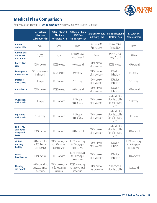

## **Medical Plan Comparison**

Below is a comparison of **what YOU pay** when you receive covered services.

|                                                | <b>Aetna Basic</b><br><b>Medicare</b><br><b>Advantage Plan</b> | <b>Aetna Enhanced</b><br><b>Medicare</b><br><b>Advantage Plan</b> | <b>Anthem Medicare</b><br><b>HMO Plan</b><br>(in-network only) | <b>Anthem Medicare</b><br><b>Indemnity Plan</b> | <b>Anthem Medicare</b><br><b>PPO Plus Plan</b>                | <b>Kaiser Senior</b><br><b>Advantage Plan</b>        |
|------------------------------------------------|----------------------------------------------------------------|-------------------------------------------------------------------|----------------------------------------------------------------|-------------------------------------------------|---------------------------------------------------------------|------------------------------------------------------|
| <b>Annual</b><br>deductible                    | None                                                           | None                                                              | None                                                           | Retiree: \$100<br>Family: \$200                 | Retiree: \$100<br>Family: \$300                               | None                                                 |
| <b>Annual out-</b><br>of-pocket<br>maximum     | \$1,000                                                        | None                                                              | Retiree: \$7,350<br>Family: \$14,700                           | None                                            | Retiree: \$1,500<br>Family: \$3,000                           | \$1,000                                              |
| <b>Preventive</b><br>care                      | 100% covered                                                   | 100% covered                                                      | 100% covered                                                   | 100% covered<br>after Medicare                  | 100% covered                                                  | 100% covered                                         |
| <b>Emergency</b><br>room services              | \$65 copay (waived<br>if admitted)                             | 100% covered                                                      | \$90 copay                                                     | 100% covered<br>after Medicare                  | 10% after<br>deductible                                       | \$65 copay                                           |
| <b>Doctor's</b><br>office visit                | \$15 copay                                                     | 100% covered                                                      | \$25 copay                                                     | 100% covered<br>after Medicare                  | 10% after<br>deductible                                       | \$15 copay                                           |
| <b>Ambulance</b>                               | 100% covered                                                   | 100% covered                                                      | 100% covered                                                   | 100% covered<br>after Medicare                  | 10% after<br>deductible                                       | 100% covered                                         |
| <b>Outpatient</b><br>office visit              | \$15 copay                                                     | 100% covered                                                      | \$120 copay,<br>max. of \$500                                  | 100% covered<br>after Medicare                  | In-network: 10%<br>after deductible<br>Out-of-network:<br>20% | \$50 copay                                           |
| <b>Inpatient</b><br>office visit               | \$120 copay                                                    | 100% covered                                                      | \$120 copay,<br>max. of \$500                                  | 100% covered<br>after Medicare                  | In-network: 10%<br>after deductible<br>Out-of-network:<br>20% | \$100 copay                                          |
| Lab, x-ray<br>and other<br>diagnostic<br>tests | 100% covered                                                   | 100% covered                                                      | 100% covered                                                   | 100% covered<br>after Medicare                  | In-network: 10%<br>after deductible<br>Out-of-network:<br>20% | 100% covered                                         |
| <b>Skilled</b><br>nursing<br>facility          | 100% covered, up<br>to 100 days per<br>calendar year           | 100% covered, up<br>to 100 days per<br>calendar year              | 100% covered, up<br>to 120 days per<br>calendar year           | 100% covered<br>after Medicare                  | 10% after<br>deductible                                       | 100% covered, up<br>to 100 days per<br>calendar year |
| <b>Home</b><br>health care                     | 100% covered                                                   | 100% covered                                                      | 100% covered, up<br>to 120 days per<br>calendar year           | 100% covered<br>after Medicare                  | 10% after<br>deductible                                       | 100% covered                                         |
| <b>Hearing</b><br>aid benefit                  | 100% covered, up<br>to \$2,000 annual<br>maximum               | 100% covered, up<br>to \$2,000 annual<br>maximum                  | 100% covered, up<br>to \$2,000 annual<br>maximum               | 100% covered<br>after deductible                | 90% covered<br>after deductible                               | Not covered                                          |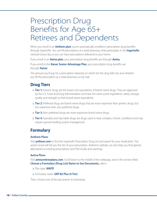## <span id="page-21-0"></span>Prescription Drug Benefits for Age 65+ Retirees and Dependents

When you enroll in an **Anthem plan**, you're automatically enrolled in prescription drug benefits through IngenioRx. You can fill prescriptions at a retail pharmacy that participates in the **IngenioRx** network (most do), or you can have prescriptions delivered to your home.

If you enroll in an **Aetna plan**, your prescription drug benefits are through **Aetna**.

If you enroll in the **Kaiser Senior Advantage Plan**, your prescription drug benefits are through **Kaiser**.

The amount you'll pay for a prescription depends on which tier the drug falls into and whether you fill the prescription at a retail pharmacy or by mail.

### **Drug Tiers**

- **Tier 1:** Generic drugs are the lower-cost equivalents of brand-name drugs. They are approved by the U.S. Food and Drug Administration and have the same active ingredients, safety, dosage, quality and strength as their brand-name equivalents.
- **Tier 2:** Preferred drugs are brand-name drugs that are more expensive than generic drugs, but less expensive than non-preferred drugs.
- **Tier 3:** Non-preferred drugs are more expensive brand-name drugs.
- **Tier 4:** Specialty and injectable drugs are drugs used to treat complex, chronic conditions and may require special handling and/or management.

### **Formulary**

#### **Anthem Plans**

Visit **[anthem.com](http://anthem.com)** to find the IngenioRx Prescription Drug List and search for your medication. The search result will tell you the tier of your prescription. Anthem's website can also help you find generic alternatives to existing prescriptions and FDA recalls and warnings.

#### **Aetna Plans**

Visit **[aetnaretireeplans.com](http://aetnaretireeplans.com)**. Scroll down to the middle of the webpage, and in the section titled **Choose a Formulary (Drug List) Name to See Documents,** select:

- Plan type: **MAPD**
- Formulary name: **GRP B2 Plus (4 Tier)**

Then, choose one of the documents to download.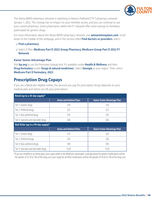

The Aetna MAPD pharmacy network is switching to Aetna's Preferred ("P1") pharmacy network January 1, 2022. This change has no impact on your member access, and you can continue to use your current pharmacy. Some pharmacies within the P1 network offer some savings to members, particularly for generic drugs.

For more information about the Aetna MAPD pharmacy network, visit **[aetnaretireeplans.com](http://aetnaretireeplans.com)**. Scroll down to the middle of the webpage, and in the section titled **Find doctors or providers**, select:

#### **Find a pharmacy**

 Select A Plan: **Medicare Part D 2022 Group Pharmacy, Medicare Group Part D 2022 P1 Network**

#### **Kaiser Senior Advantage Plan**

Visit **[kp.org](http://kp.org)** to use the formulary lookup tool. It's available under **Health & Wellness** and then **Drug formulary** (under **Drugs & natural medicines**). Select **Georgia** as your region. Then, select **Medicare Part D formulary, 2022**.

#### **Prescription Drug Copays**

If you are a Medicare-eligible retiree, the amount you pay for prescription drugs depends on your medical plan and where you fill your prescription:

| Retail (up to a 30-day supply)*        |                               |                                     |  |  |  |  |
|----------------------------------------|-------------------------------|-------------------------------------|--|--|--|--|
|                                        | <b>Aetna and Anthem Plans</b> | <b>Kaiser Senior Advantage Plan</b> |  |  |  |  |
| Tier 1: Generic drugs                  | \$10                          | \$10                                |  |  |  |  |
| Tier 2: Preferred drugs                | \$25                          | \$25                                |  |  |  |  |
| Tier 3: Non-preferred drugs            | \$45                          | \$45                                |  |  |  |  |
| Tier 4: Specialty and injectable drugs | \$60                          | \$60                                |  |  |  |  |
| Mail Order (up to a 90-day supply)*    |                               |                                     |  |  |  |  |
|                                        |                               |                                     |  |  |  |  |
|                                        | <b>Aetna and Anthem Plans</b> | <b>Kaiser Senior Advantage Plan</b> |  |  |  |  |
| Tier 1: Generic drugs                  | \$15                          | \$20                                |  |  |  |  |
| Tier 2: Preferred drugs                | \$45                          | \$50                                |  |  |  |  |
| Tier 3: Non-preferred drugs            | \$90                          | \$90                                |  |  |  |  |

\*If you are enrolled in an Aetna plan, your copay while in the Medicare catastrophic coverage phase for generic medications will be the greater of \$3.70 or 5% of the drug cost; your copay for all other medications will be the greater of \$9.20 or 5% of the drug cost.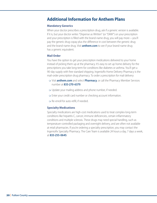#### **Additional Information for Anthem Plans**

#### **Mandatory Generics**

When your doctor prescribes a prescription drug, ask if a generic version is available. If it is, but your doctor writes "Dispense as Written" (or "DAW") on your prescription and your prescription is filled with the brand-name drug, you will pay more—you'll pay the generic drug copay plus the difference in cost between the generic drug and the brand-name drug. Visit **[anthem.com](http://anthem.com)** to see if your brand-name drug has a generic equivalent.

#### **Mail Order**

You have the option to get your prescription medications delivered to your home instead of picking them up at the pharmacy. It's easy to set up home delivery for the prescriptions you take long-term for conditions like diabetes or asthma. You'll get a 90-day supply with free standard shipping. IngenioRx Home Delivery Pharmacy is the mail-order prescription drug pharmacy. To order a prescription for mail delivery:

- Visit **[anthem.com](http://anthem.com)** and select **Pharmacy**, or call the Pharmacy Member Services number at **833-270-6379**.
- Update your mailing address and phone number, if needed.
- o Enter your credit card number or checking account information.
- Re-enroll for auto-refill, if needed.

#### **Specialty Medications**

Specialty medications are high-cost medications used to treat complex long-term conditions like hepatitis C, cancer, immune deficiencies, certain inflammatory conditions and multiple sclerosis. These drugs may need special handling, such as temperature-controlled packaging and overnight delivery, and are often not available at retail pharmacies. If you're ordering a specialty prescription, you may contact the IngenioRx Specialty Pharmacy. The Care Team is available 24 hours a day, 7 days a week, at **833-255-0645**.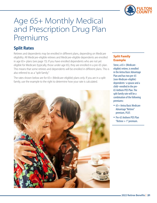

## <span id="page-24-0"></span>Age 65+ Monthly Medical and Prescription Drug Plan Premiums

### **Split Rates**

Retirees and dependents may be enrolled in different plans, depending on Medicare eligibility. All Medicare-eligible retirees and Medicare-eligible dependents are enrolled in age 65+ plans (see page 15). If you have enrolled dependents who are not yet eligible for Medicare (typically, those under age 65), they are enrolled in a pre-65 plan. This means that some retirees and dependents will be enrolled in different plans. This is also referred to as a "split family."

The rates shown below are for 65+ (Medicare-eligible) plans only. If you are in a split family, use the example to the right to determine how your rate is calculated.



#### Split Family Example

Steve, a 65+ (Medicareeligible) retiree, is enrolled in the Aetna Basic Advantage Plan and has two pre-65 (non-Medicare-eligible) dependents–a spouse and a child–enrolled in the pre-65 Anthem POS Plan. The split family rate will be a combination of the following premiums:

- 65+ Aetna Basic Medicare Advantage "Retiree" premium, PLUS
- Pre-65 Anthem POS Plan "Retiree + 1" premium.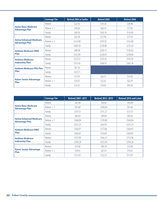|                                                         | <b>Coverage Tier</b> | <b>Retired 2004 or Earlier</b> | <b>Retired 2005</b> | <b>Retired 2006</b> |
|---------------------------------------------------------|----------------------|--------------------------------|---------------------|---------------------|
|                                                         | Retiree              | \$22.92                        | \$34.38             | \$38.96             |
| <b>Aetna Basic Medicare</b><br><b>Advantage Plan</b>    | Retiree $+1$         | \$45.84                        | \$68.76             | \$77.92             |
|                                                         | Family               | \$68.76                        | \$103.14            | \$116.89            |
|                                                         | Retiree              | \$61.50                        | \$72.96             | \$77.54             |
| <b>Aetna Enhanced Medicare</b><br><b>Advantage Plan</b> | Retiree $+1$         | \$123.00                       | \$145.92            | \$155.08            |
|                                                         | Family               | \$184.50                       | \$218.88            | \$232.63            |
| <b>Anthem Medicare HMO</b>                              | Retiree              | \$80.48                        | \$120.73            | \$136.82            |
| Plan                                                    | Family               | \$152.04                       | \$228.05            | \$258.46            |
| <b>Anthem Medicare</b>                                  | Retiree              | \$123.12                       | \$135.43            | \$141.59            |
| <b>Indemnity Plan</b>                                   | Family               | \$315.43                       | \$346.97            | \$362.74            |
| <b>Anthem Medicare PPO Plus</b>                         | Retiree              | \$61.56                        |                     |                     |
| Plan                                                    | Family               | \$157.71                       |                     |                     |
|                                                         | Retiree              | \$17.54                        | \$26.31             | \$31.45             |
| <b>Kaiser Senior Advantage</b><br>Plan                  | Retiree $+1$         | \$35.07                        | \$52.61             | \$62.91             |
|                                                         | Family               | \$52.61                        | \$78.92             | \$94.36             |

|                                                         | <b>Coverage Tier</b> | <b>Retired 2007-2011</b> | <b>Retired 2012-2015</b> | <b>Retired 2016 and Later</b> |
|---------------------------------------------------------|----------------------|--------------------------|--------------------------|-------------------------------|
|                                                         | Retiree              | \$45.84                  | \$50.42                  | \$45.84                       |
| <b>Aetna Basic Medicare</b><br><b>Advantage Plan</b>    | Retiree $+1$         | \$91.68                  | \$100.84                 | \$91.68                       |
|                                                         | Family               | \$137.51                 | \$151.27                 | \$137.51                      |
|                                                         | Retiree              | \$84.42                  | \$89.00                  | \$84.42                       |
| <b>Aetna Enhanced Medicare</b><br><b>Advantage Plan</b> | Retiree $+1$         | \$168.84                 | \$178.00                 | \$168.84                      |
|                                                         | Family               | \$253.25                 | \$267.01                 | \$253.25                      |
| <b>Anthem Medicare HMO</b>                              | Retiree              | \$160.97                 | \$177.06                 | \$160.97                      |
| Plan                                                    | Family               | \$304.07                 | \$334.47                 | \$304.07                      |
| <b>Anthem Medicare</b>                                  | Retiree              | \$153.90                 | \$166.21                 | \$153.90                      |
| <b>Indemnity Plan</b>                                   | Family               | \$394.28                 | \$425.83                 | \$394.28                      |
|                                                         | Retiree              | \$37.00                  | \$40.70                  | \$37.00                       |
| <b>Kaiser Senior Advantage</b><br>Plan                  | Retiree $+1$         | \$74.01                  | \$81.41                  | \$74.01                       |
|                                                         | Family               | \$111.01                 | \$122.11                 | \$111.01                      |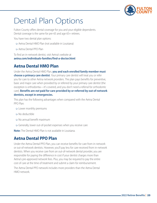

## <span id="page-26-0"></span>Dental Plan Options

Fulton County offers dental coverage for you and your eligible dependents. Dental coverage is the same for pre-65 and age 65+ retirees.

You have two dental plan options:

- Aetna Dental HMO Plan (not available in Louisiana)
- Aetna Dental PPO Plan

To find an in-network dentist, visit Aetna's website at **[aetna.com/individuals-families/find-a-doctor.html](http://aetna.com/individuals-families/find-a-doctor.html)**.

## **Aetna Dental HMO Plan**

Under the Aetna Dental HMO Plan, **you and each enrolled family member must choose a primary care dentist**. Your primary care dentist will treat you or refer you for care to other Aetna network providers. The plan pays benefits for preventive, basic and major care when provided by or referred by your primary care dentist (the exception is orthodontia—it's covered, and you don't need a referral for orthodontic care). **Benefits are** *not* **paid for care provided by or referred by out-of-network dentists, except in emergencies.**

This plan has the following advantages when compared with the Aetna Dental PPO Plan:

- Lower monthly premiums
- No deductible
- No annual benefit maximum
- Generally, lower out-of-pocket expenses when you receive care

**Note:** The Dental HMO Plan is not available in Louisiana.

## **Aetna Dental PPO Plan**

Under the Aetna Dental PPO Plan, you can receive benefits for care from in-network or out-of-network dentists. However, you'll pay less for care received from in-network dentists. When you receive care from an out-of-network dental provider, you are responsible for paying the difference in cost if your dentist charges more than Aetna's pre-approved network fees. Plus, you may be required to pay the entire cost of care at the time of treatment and submit a claim for reimbursement.

The Aetna Dental PPO network includes more providers than the Aetna Dental HMO network.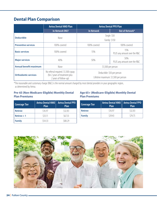### **Dental Plan Comparison**

|                             | <b>Aetna Dental HMO Plan</b>                                                                   |                                                                     | <b>Aetna Dental PPO Plan</b>        |
|-----------------------------|------------------------------------------------------------------------------------------------|---------------------------------------------------------------------|-------------------------------------|
|                             | <b>In-Network ONLY</b>                                                                         | <b>In-Network</b>                                                   | Out-of-Network*                     |
| <b>Deductible</b>           | None                                                                                           | Single: \$50<br>Family: \$150                                       |                                     |
| <b>Preventive services</b>  | 100% covered                                                                                   | 100% covered                                                        | 100% covered                        |
| <b>Basic services</b>       | 100% covered                                                                                   | 15%                                                                 | 15%<br>PLUS any amount over the R&C |
| <b>Major services</b>       | 40%                                                                                            |                                                                     | 50%<br>PLUS any amount over the R&C |
| Annual benefit maximum      | None                                                                                           | \$1,500 per person                                                  |                                     |
| <b>Orthodontic services</b> | No referral required. \$1,500 copay<br>(for 2 years of treatment plus<br>2 years of follow-up) | Deductible: \$50 per person<br>Lifetime maximum: \$1,500 per person |                                     |

\*The reasonable and customary charge (R&C) is the normal amount charged by most dental providers in your geographic region, as determined by Aetna.

#### **Pre-65 (Non-Medicare-Eligible) Monthly Dental Plan Premiums**

| <b>Coverage Tier</b> | <b>Aetna Dental HMO</b><br>Plan | <b>Aetna Dental PPO</b><br><b>Plan</b> |
|----------------------|---------------------------------|----------------------------------------|
| <b>Retiree</b>       | \$16.97                         | \$32.83                                |
| Retiree $+1$         | \$33.11                         | \$67.33                                |
| <b>Family</b>        | \$54.33                         | \$88.29                                |

#### **Age 65+ (Medicare-Eligible) Monthly Dental Plan Premiums**

| <b>Coverage Tier</b> | Aetna Dental HMO   Aetna Dental PPO<br>Plan | <b>Plan</b> |
|----------------------|---------------------------------------------|-------------|
| <b>Retiree</b>       | \$16.97                                     | \$32.83     |
| <b>Family</b>        | \$39.43                                     | \$74.75     |

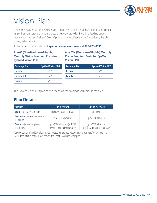

## <span id="page-28-0"></span>Vision Plan

Under the EyeMed Vision PPO Plan, you can receive vision care, lenses, frames and contact lenses from any provider. If you choose a network provider (including leading optical retailers such as LensCrafters®, Sears Optical, and most Pearle Vision® locations), the plan pays greater benefits.

To find a network provider, visit **[eyemedvisioncare.com](http://eyemedvisioncare.com)** or call **866-723-0596**.

#### **Pre-65 (Non-Medicare-Eligible) Monthly Vision Premium Costs for EyeMed Vision PPO**

#### **Age 65+ (Medicare-Eligible) Monthly Vision Premium Costs for EyeMed Vision PPO**

| <b>Coverage Tier</b> | <b>EyeMed Vision PPO</b> |  |
|----------------------|--------------------------|--|
| <b>Retiree</b>       | S2.95                    |  |
| Retiree $+1$         | \$6.05                   |  |
| <b>Family</b>        | 7793                     |  |

| <b>Coverage Tier</b><br><b>EyeMed Vision PPO</b> |        |  |
|--------------------------------------------------|--------|--|
| <b>Retiree</b>                                   | \ / Y5 |  |
| <b>Family</b>                                    | .h /   |  |

The EyeMed Vision PPO plan costs depend on the coverage you enroll in for 2022.

#### **Plan Details**

| <b>Services</b>                                    | <b>In-Network</b>                                                  | <b>Out-of-Network</b>                                         |  |
|----------------------------------------------------|--------------------------------------------------------------------|---------------------------------------------------------------|--|
| <b>Exam</b> , once every 12 months                 | Plan pays 100%, up to \$50                                         | Up to $$50$                                                   |  |
| Lenses and frames, once every<br>12 months         | Up to \$200 allowance*                                             | Up to \$100 allowance                                         |  |
| <b>Contacts</b> (instead of glasses<br>and frames) | Up to \$200 allowance (or 100%<br>covered if medically necessary)* | Up to \$160 allowance<br>(up to \$200 if medically necessary) |  |

\*Unused portion of the \$200 allowance can be used for future services during the plan year. You will receive a 20% discount at in-network providers on items not fully covered by the plan.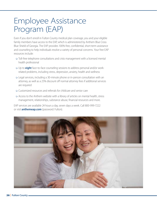## <span id="page-29-0"></span>Employee Assistance Program (EAP)

Even if you don't enroll in Fulton County medical plan coverage, you and your eligible family members have access to the EAP, which is administered by Anthem Blue Cross Blue Shield of Georgia. The EAP provides 100% free, confidential, short-term assistance and counseling to help individuals resolve a variety of personal concerns. Your free EAP resources include:

- Toll-free telephone consultations and crisis management with a licensed mental health professional
- Up to **eight** face-to-face counseling sessions to address personal and/or workrelated problems, including stress, depression, anxiety, health and wellness
- Legal services, including a 30-minute phone or in-person consultation with an attorney, as well as a 25% discount off normal attorney fees if additional services are required
- Customized resources and referrals for childcare and senior care
- Access to the Anthem website with a library of articles on mental health, stress management, relationships, substance abuse, financial resources and more.

EAP services are available 24 hours a day, seven days a week. Call 800-999-7222 or visit **[anthemeap.com](http://anthemeap.com)** (password: Fulton).

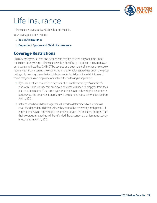

## <span id="page-30-0"></span>Life Insurance

Life Insurance coverage is available through MetLife.

Your coverage options include:

- **Basic Life Insurance**
- **Dependent Spouse and Child Life Insurance**

## **Coverage Restrictions**

Eligible employees, retirees and dependents may be covered only one time under the Fulton County Group Life Insurance Policy. Specifically, if a person is covered as an employee or retiree, they CANNOT be covered as a dependent of another employee or retiree. Also, if both parents are covered as insured employees/retirees under the group policy, only one may cover their eligible dependent child(ren). If you fall into any of those categories as an employee or a retiree, the following is applicable:

- o If you are a retiree covered as a dependent on another employee's or retiree's plan with Fulton County, that employee or retiree will need to drop you from their plan as a dependent. If that employee or retiree has no other eligible dependents besides you, the dependent premium will be refunded retroactively effective from April 1, 2013.
- o Retirees who have children together will need to determine which retiree will cover the dependent child(ren), since they cannot be covered by both parents. If either retiree has no other eligible dependent besides the child(ren) dropped from their coverage, that retiree will be refunded the dependent premium retroactively effective from April 1, 2013.